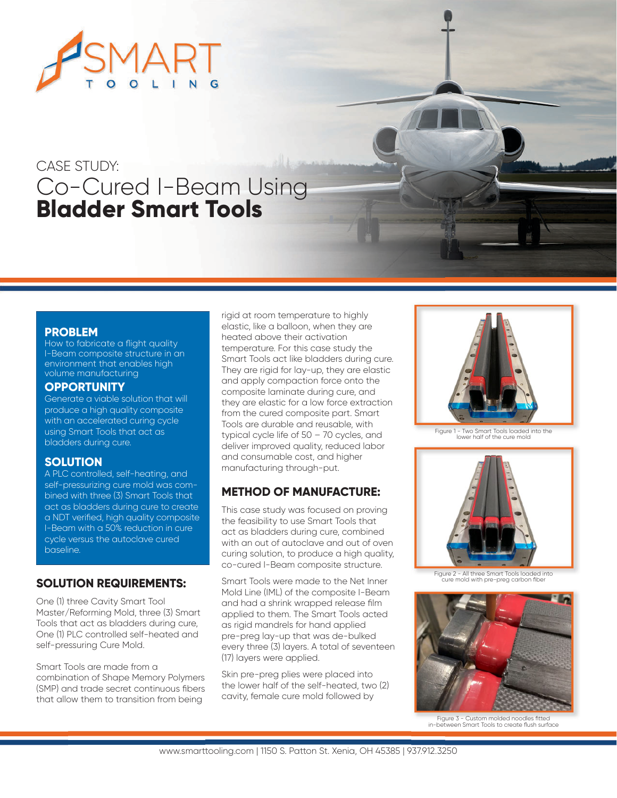

# CASE STUDY: Co-Cured I-Beam Using **Bladder Smart Tools**

### **PROBLEM**

How to fabricate a flight quality I-Beam composite structure in an environment that enables high volume manufacturing

#### **OPPORTUNITY**

Generate a viable solution that will produce a high quality composite with an accelerated curing cycle using Smart Tools that act as bladders during cure.

#### **SOLUTION**

A PLC controlled, self-heating, and self-pressurizing cure mold was combined with three (3) Smart Tools that act as bladders during cure to create a NDT verified, high quality composite I-Beam with a 50% reduction in cure cycle versus the autoclave cured baseline.

#### **SOLUTION REQUIREMENTS:**

One (1) three Cavity Smart Tool Master/Reforming Mold, three (3) Smart Tools that act as bladders during cure, One (1) PLC controlled self-heated and self-pressuring Cure Mold.

Smart Tools are made from a combination of Shape Memory Polymers (SMP) and trade secret continuous fibers that allow them to transition from being

rigid at room temperature to highly elastic, like a balloon, when they are heated above their activation temperature. For this case study the Smart Tools act like bladders during cure. They are rigid for lay-up, they are elastic and apply compaction force onto the composite laminate during cure, and they are elastic for a low force extraction from the cured composite part. Smart Tools are durable and reusable, with typical cycle life of 50 – 70 cycles, and deliver improved quality, reduced labor and consumable cost, and higher manufacturing through-put.

## **METHOD OF MANUFACTURE:**

This case study was focused on proving the feasibility to use Smart Tools that act as bladders during cure, combined with an out of autoclave and out of oven curing solution, to produce a high quality, co-cured I-Beam composite structure.

Smart Tools were made to the Net Inner Mold Line (IML) of the composite I-Beam and had a shrink wrapped release film applied to them. The Smart Tools acted as rigid mandrels for hand applied pre-preg lay-up that was de-bulked every three (3) layers. A total of seventeen (17) layers were applied.

Skin pre-preg plies were placed into the lower half of the self-heated, two (2) cavity, female cure mold followed by



Figure 1 - Two Smart Tools loaded into the lower half of the cure mold



Figure 2 - All three Smart Tools loaded into c Enditional create restance is also in the mold with pre-pregnancy carbon fiber



Figure 3 - Custom molded noodles fitted in-between Smart Tools to create flush surface